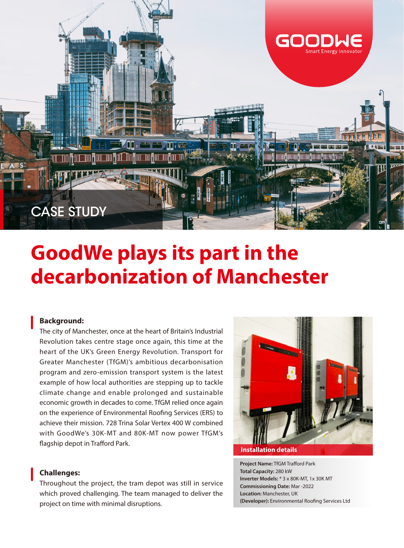

# **GoodWe plays its part in the decarbonization of Manchester**

#### **Background:**

The city of Manchester, once at the heart of Britain's Industrial Revolution takes centre stage once again, this time at the heart of the UK's Green Energy Revolution. Transport for Greater Manchester (TfGM)'s ambitious decarbonisation program and zero-emission transport system is the latest example of how local authorities are stepping up to tackle climate change and enable prolonged and sustainable economic growth in decades to come. TfGM relied once again on the experience of Environmental Roofing Services (ERS) to achieve their mission. 728 Trina Solar Vertex 400 W combined with GoodWe's 30K-MT and 80K-MT now power TfGM's flagship depot in Trafford Park.

## **Challenges:**

Throughout the project, the tram depot was still in service which proved challenging. The team managed to deliver the project on time with minimal disruptions.



**Project Name:** TfGM Trafford Park **Total Capacity:** 280 kW **Inverter Models:** \* 3 x 80K-MT, 1x 30K MT **Commissioning Date:** Mar -2022 **Location:** Manchester, UK **(Developer):** Environmental Roofing Services Ltd